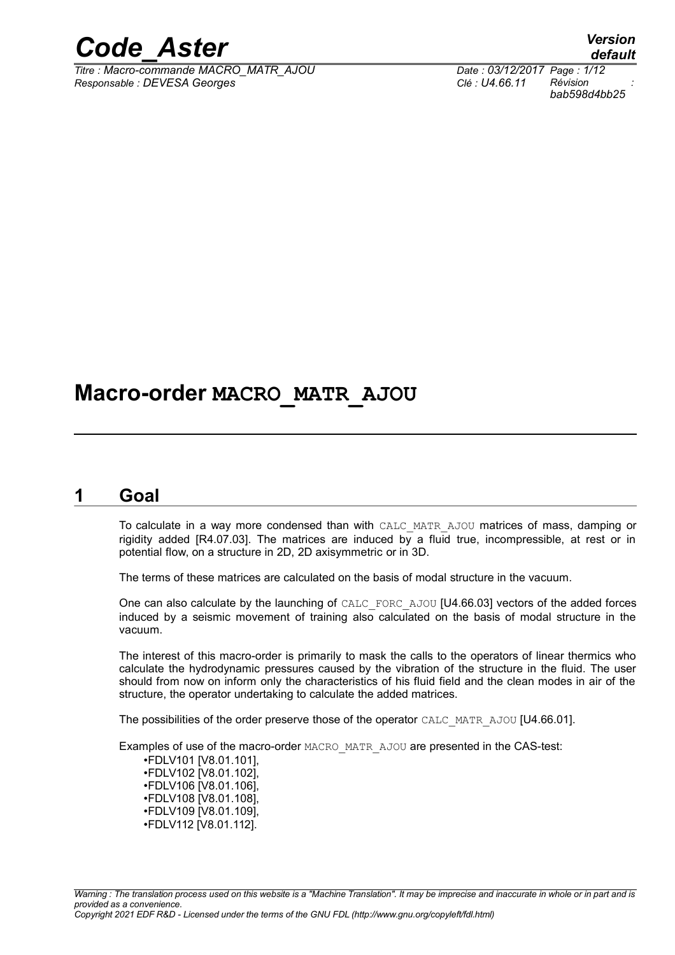

*Titre : Macro-commande MACRO\_MATR\_AJOU Date : 03/12/2017 Page : 1/12 Responsable : DEVESA Georges Clé : U4.66.11 Révision :*

*default bab598d4bb25*

## **Macro-order MACRO\_MATR\_AJOU**

#### **1 Goal**

To calculate in a way more condensed than with CALC\_MATR\_AJOU matrices of mass, damping or rigidity added [R4.07.03]. The matrices are induced by a fluid true, incompressible, at rest or in potential flow, on a structure in 2D, 2D axisymmetric or in 3D.

The terms of these matrices are calculated on the basis of modal structure in the vacuum.

One can also calculate by the launching of CALC\_FORC\_AJOU [U4.66.03] vectors of the added forces induced by a seismic movement of training also calculated on the basis of modal structure in the vacuum.

The interest of this macro-order is primarily to mask the calls to the operators of linear thermics who calculate the hydrodynamic pressures caused by the vibration of the structure in the fluid. The user should from now on inform only the characteristics of his fluid field and the clean modes in air of the structure, the operator undertaking to calculate the added matrices.

The possibilities of the order preserve those of the operator CALC\_MATR\_AJOU [U4.66.01].

Examples of use of the macro-order MACRO\_MATR\_AJOU are presented in the CAS-test:

•FDLV101 [V8.01.101], •FDLV102 [V8.01.102], •FDLV106 [V8.01.106], •FDLV108 [V8.01.108], •FDLV109 [V8.01.109], •FDLV112 [V8.01.112].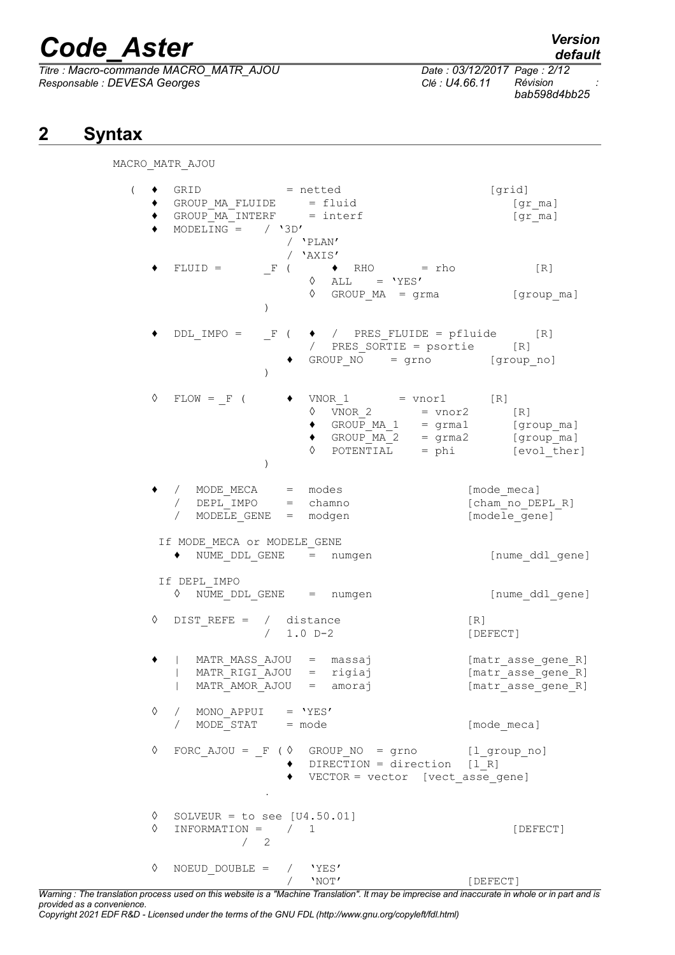*Titre : Macro-commande MACRO\_MATR\_AJOU Date : 03/12/2017 Page : 2/12*  $Responsible : DEVESA Georges$ 

*bab598d4bb25*

## **2 Syntax**

MACRO\_MATR\_AJOU

| $\left($ |                 | GRID = netted<br>GROUP MA FLUIDE = fluid<br>$GROUPMA$ INTERF = interf<br>MODELING = $/ '3D'$ |               | / 'PLAN'                                                                                                                                                                                                                                                                | [grid]<br>[gr ma]<br>[gr ma]                                   |
|----------|-----------------|----------------------------------------------------------------------------------------------|---------------|-------------------------------------------------------------------------------------------------------------------------------------------------------------------------------------------------------------------------------------------------------------------------|----------------------------------------------------------------|
|          |                 | $FLUID =$                                                                                    | $\mathcal{L}$ | / 'AXIS'<br>$F$ ( $\rightarrow$ RHO = rho<br>$\Diamond$ ALL = 'YES'<br>$\Diamond$ GROUP MA = grma $[group\_ma]$                                                                                                                                                         | [R]                                                            |
|          |                 |                                                                                              | $\mathcal{L}$ | $\begin{tabular}{lllllll} \multicolumn{2}{l} \texttt{DDL} \texttt{IMPO} = &\_F & ( & \blacklozenge & / & \texttt{PRES\_FLUIDE} = pfluide & & \texttt{[R]} \\ & / & & \texttt{PRES\_SORTIE} = psortie & & \texttt{[R]} \\ \end{tabular}$<br>$GROUP_NO = grno$ [group_no] |                                                                |
|          | ♦               | $FLOW = F$ (                                                                                 | $\lambda$     | $VNOR 1 = vnor1$ [R]<br>$VNOR$ 2 = $vnor2$ [R]<br>♦<br>$\bullet$ GROUP MA 1 = grma1 [group ma]<br>$\bullet$ GROUP_MA_2 = grma2 [group_ma]<br>$\Diamond$ POTENTIAL = phi $[evol\_ther]$                                                                                  |                                                                |
|          |                 | / MODE_MECA = modes<br>$/$ DEPL IMPO = chamno<br>/ $MODE\overline{L}E$ GENE = modgen         |               |                                                                                                                                                                                                                                                                         | [mode meca]<br>[cham no DEPL R]<br>[modele gene]               |
|          |                 | If MODE MECA or MODELE GENE<br>NUME DDL GENE = numgen                                        |               |                                                                                                                                                                                                                                                                         | [nume ddl_gene]                                                |
|          |                 | If DEPL IMPO<br>V NUME DDL GENE = numgen                                                     |               |                                                                                                                                                                                                                                                                         | [nume ddl gene]                                                |
|          | ♦               | DIST REFE = $/$ distance                                                                     | $/ 1.0 D-2$   |                                                                                                                                                                                                                                                                         | [R]<br>[DEFECT]                                                |
|          |                 | MATR MASS AJOU = massaj<br>  MATR RIGI AJOU = rigiaj<br>  MATR AMOR AJOU = amoraj            |               |                                                                                                                                                                                                                                                                         | [matr asse gene R]<br>[matr asse gene R]<br>[matr_asse_gene_R] |
|          | ♦               | / MONO APPUI = $'YES'$<br>$/$ MODE STAT = mode                                               |               |                                                                                                                                                                                                                                                                         | [mode meca]                                                    |
|          | $\Diamond$      |                                                                                              | $\sim$ $\sim$ | FORC AJOU = $F$ ( $\Diamond$ GROUP NO = grno [l group no]<br>$\blacklozenge$ DIRECTION = direction [1 R]<br>VECTOR = vector [vect asse gene]                                                                                                                            |                                                                |
|          | $\Diamond$<br>♦ | SOLVEUR = to see $[U4.50.01]$<br>INFORMATION = $/ 1$<br>/2                                   |               |                                                                                                                                                                                                                                                                         | [DEFECT]                                                       |
|          | ♦               | NOEUD DOUBLE = $/$ 'YES'                                                                     |               | $/$ 'NOT'                                                                                                                                                                                                                                                               | [DEFECT]                                                       |

*Warning : The translation process used on this website is a "Machine Translation". It may be imprecise and inaccurate in whole or in part and is provided as a convenience.*

*Copyright 2021 EDF R&D - Licensed under the terms of the GNU FDL (http://www.gnu.org/copyleft/fdl.html)*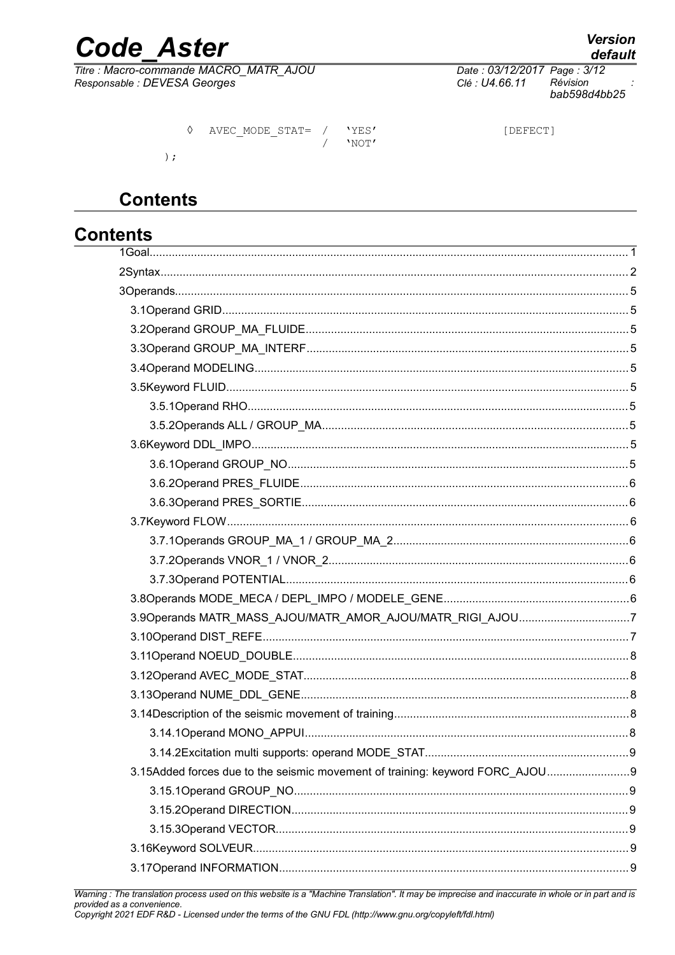## **Code Aster**

Titre : Macro-commande MACRO\_MATR\_AJOU Responsable : DEVESA Georges

Date: 03/12/2017 Page: 3/12 Clé : U4.66.11 Révision bab598d4bb25

|  | AVEC MODE STAT= / 'YES' | 'NOT' | [DEFECT] |
|--|-------------------------|-------|----------|
|  |                         |       |          |

## **Contents**

## **Contents**

| 3.9Operands MATR_MASS_AJOU/MATR_AMOR_AJOU/MATR_RIGI_AJOU7                    |  |
|------------------------------------------------------------------------------|--|
|                                                                              |  |
|                                                                              |  |
|                                                                              |  |
|                                                                              |  |
|                                                                              |  |
|                                                                              |  |
|                                                                              |  |
| 3.15Added forces due to the seismic movement of training: keyword FORC_AJOU9 |  |
|                                                                              |  |
|                                                                              |  |
|                                                                              |  |
|                                                                              |  |
|                                                                              |  |
|                                                                              |  |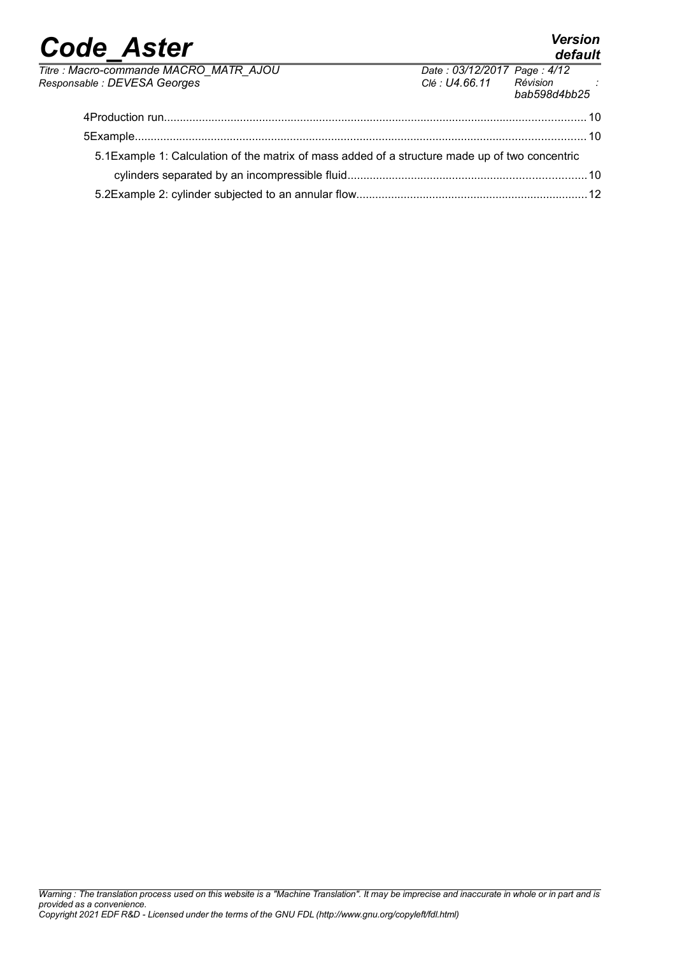#### *Code\_Aster Version default Titre : Macro-commande MACRO\_MATR\_AJOU Date : 03/12/2017 Page : 4/12*  $Responsible : DEVESA Georges$ *bab598d4bb25* 4Production run.....................................................................................................................................10 5Example..............................................................................................................................................10 5.1Example 1: Calculation of the matrix of mass added of a structure made up of two concentric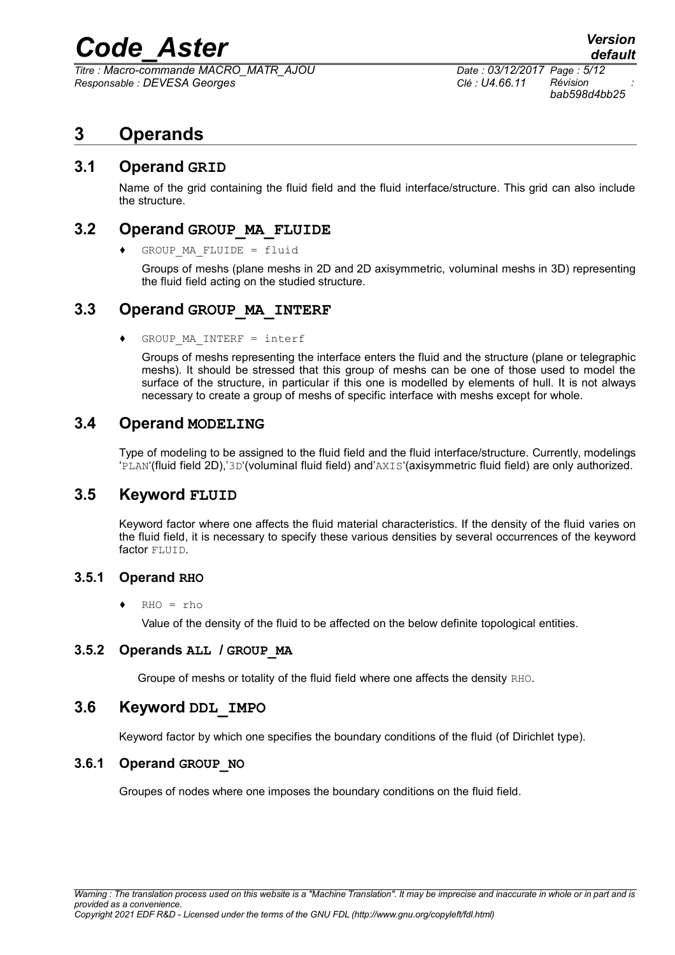*Titre : Macro-commande MACRO\_MATR\_AJOU Date : 03/12/2017 Page : 5/12 Responsable : DEVESA Georges Clé : U4.66.11 Révision :*

*bab598d4bb25*

### **3 Operands**

#### **3.1 Operand GRID**

Name of the grid containing the fluid field and the fluid interface/structure. This grid can also include the structure.

#### **3.2 Operand GROUP\_MA\_FLUIDE**

 $GROUP$  MA FLUIDE = fluid

Groups of meshs (plane meshs in 2D and 2D axisymmetric, voluminal meshs in 3D) representing the fluid field acting on the studied structure.

#### **3.3 Operand GROUP\_MA\_INTERF**

♦ GROUP\_MA\_INTERF = interf

Groups of meshs representing the interface enters the fluid and the structure (plane or telegraphic meshs). It should be stressed that this group of meshs can be one of those used to model the surface of the structure, in particular if this one is modelled by elements of hull. It is not always necessary to create a group of meshs of specific interface with meshs except for whole.

#### **3.4 Operand MODELING**

Type of modeling to be assigned to the fluid field and the fluid interface/structure. Currently, modelings 'PLAN'(fluid field 2D),'3D'(voluminal fluid field) and'AXIS'(axisymmetric fluid field) are only authorized.

#### **3.5 Keyword FLUID**

Keyword factor where one affects the fluid material characteristics. If the density of the fluid varies on the fluid field, it is necessary to specify these various densities by several occurrences of the keyword factor FLUID.

#### **3.5.1 Operand RHO**

♦ RHO = rho

Value of the density of the fluid to be affected on the below definite topological entities.

#### **3.5.2 Operands ALL / GROUP\_MA**

Groupe of meshs or totality of the fluid field where one affects the density RHO.

#### **3.6 Keyword DDL\_IMPO**

Keyword factor by which one specifies the boundary conditions of the fluid (of Dirichlet type).

#### **3.6.1 Operand GROUP\_NO**

Groupes of nodes where one imposes the boundary conditions on the fluid field.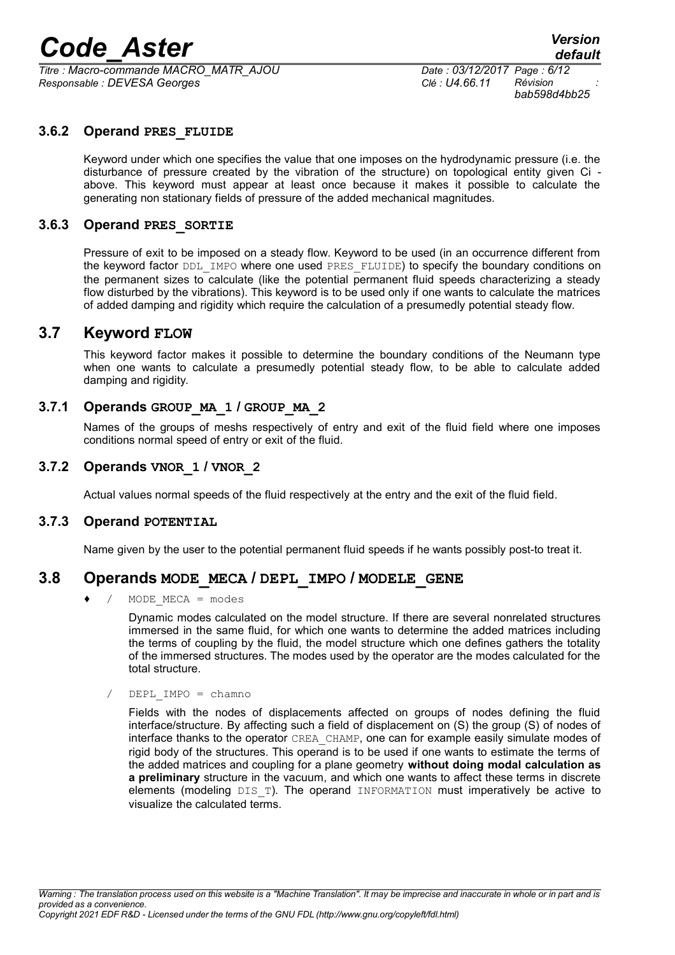*Titre : Macro-commande MACRO\_MATR\_AJOU Date : 03/12/2017 Page : 6/12 Responsable : DEVESA Georges Clé : U4.66.11 Révision :*

*bab598d4bb25*

#### **3.6.2 Operand PRES\_FLUIDE**

Keyword under which one specifies the value that one imposes on the hydrodynamic pressure (i.e. the disturbance of pressure created by the vibration of the structure) on topological entity given Ci above. This keyword must appear at least once because it makes it possible to calculate the generating non stationary fields of pressure of the added mechanical magnitudes.

#### **3.6.3 Operand PRES\_SORTIE**

Pressure of exit to be imposed on a steady flow. Keyword to be used (in an occurrence different from the keyword factor DDL\_IMPO where one used PRES\_FLUIDE) to specify the boundary conditions on the permanent sizes to calculate (like the potential permanent fluid speeds characterizing a steady flow disturbed by the vibrations). This keyword is to be used only if one wants to calculate the matrices of added damping and rigidity which require the calculation of a presumedly potential steady flow.

#### **3.7 Keyword FLOW**

This keyword factor makes it possible to determine the boundary conditions of the Neumann type when one wants to calculate a presumedly potential steady flow, to be able to calculate added damping and rigidity.

#### **3.7.1 Operands GROUP\_MA\_1 / GROUP\_MA\_2**

Names of the groups of meshs respectively of entry and exit of the fluid field where one imposes conditions normal speed of entry or exit of the fluid.

#### **3.7.2 Operands VNOR\_1 / VNOR\_2**

Actual values normal speeds of the fluid respectively at the entry and the exit of the fluid field.

#### **3.7.3 Operand POTENTIAL**

Name given by the user to the potential permanent fluid speeds if he wants possibly post-to treat it.

#### **3.8 Operands MODE\_MECA / DEPL\_IMPO / MODELE\_GENE**

 $MODE$   $MECA$  =  $modes$ 

Dynamic modes calculated on the model structure. If there are several nonrelated structures immersed in the same fluid, for which one wants to determine the added matrices including the terms of coupling by the fluid, the model structure which one defines gathers the totality of the immersed structures. The modes used by the operator are the modes calculated for the total structure.

/ DEPL\_IMPO = chamno

Fields with the nodes of displacements affected on groups of nodes defining the fluid interface/structure. By affecting such a field of displacement on (S) the group (S) of nodes of interface thanks to the operator CREA\_CHAMP, one can for example easily simulate modes of rigid body of the structures. This operand is to be used if one wants to estimate the terms of the added matrices and coupling for a plane geometry **without doing modal calculation as a preliminary** structure in the vacuum, and which one wants to affect these terms in discrete elements (modeling  $DIST$ ). The operand INFORMATION must imperatively be active to visualize the calculated terms.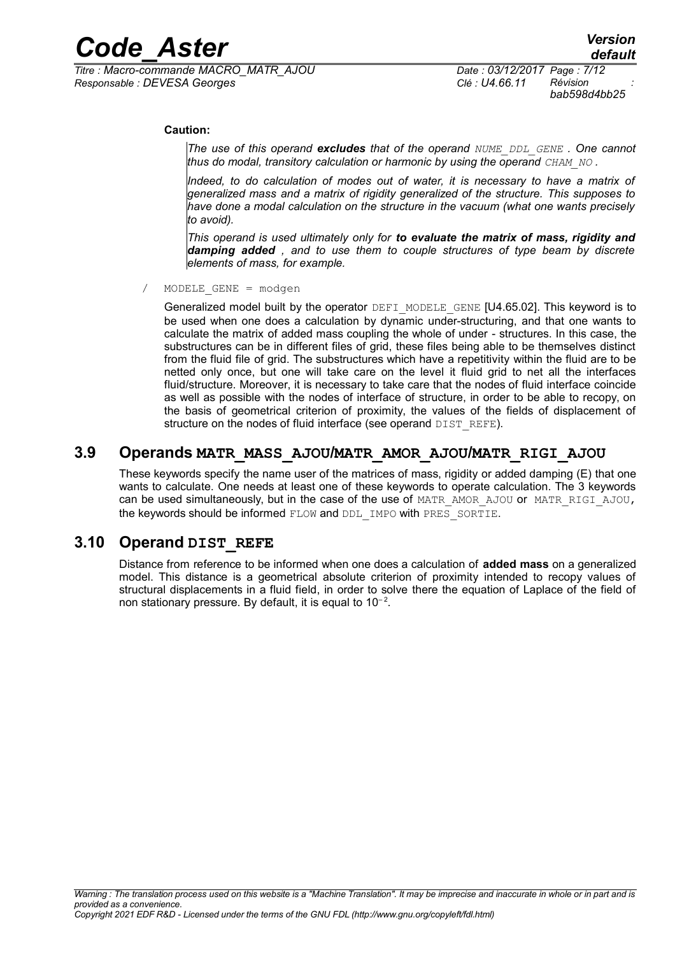*Titre : Macro-commande MACRO\_MATR\_AJOU Date : 03/12/2017 Page : 7/12 Responsable : DEVESA Georges Clé : U4.66.11 Révision :*

*bab598d4bb25*

#### **Caution:**

*The use of this operand excludes that of the operand NUME\_DDL\_GENE . One cannot thus do modal, transitory calculation or harmonic by using the operand CHAM\_NO .*

*Indeed, to do calculation of modes out of water, it is necessary to have a matrix of generalized mass and a matrix of rigidity generalized of the structure. This supposes to have done a modal calculation on the structure in the vacuum (what one wants precisely to avoid).*

*This operand is used ultimately only for to evaluate the matrix of mass, rigidity and damping added , and to use them to couple structures of type beam by discrete elements of mass, for example.*

 $MODELE$  GENE = modgen

Generalized model built by the operator DEFI\_MODELE\_GENE [U4.65.02]. This keyword is to be used when one does a calculation by dynamic under-structuring, and that one wants to calculate the matrix of added mass coupling the whole of under - structures. In this case, the substructures can be in different files of grid, these files being able to be themselves distinct from the fluid file of grid. The substructures which have a repetitivity within the fluid are to be netted only once, but one will take care on the level it fluid grid to net all the interfaces fluid/structure. Moreover, it is necessary to take care that the nodes of fluid interface coincide as well as possible with the nodes of interface of structure, in order to be able to recopy, on the basis of geometrical criterion of proximity, the values of the fields of displacement of structure on the nodes of fluid interface (see operand DIST\_REFE).

#### **3.9 Operands MATR\_MASS\_AJOU/MATR\_AMOR\_AJOU/MATR\_RIGI\_AJOU**

These keywords specify the name user of the matrices of mass, rigidity or added damping (E) that one wants to calculate. One needs at least one of these keywords to operate calculation. The 3 keywords can be used simultaneously, but in the case of the use of MATR\_AMOR\_AJOU or MATR\_RIGI\_AJOU, the keywords should be informed FLOW and DDL IMPO with PRES SORTIE.

#### **3.10 Operand DIST\_REFE**

Distance from reference to be informed when one does a calculation of **added mass** on a generalized model. This distance is a geometrical absolute criterion of proximity intended to recopy values of structural displacements in a fluid field, in order to solve there the equation of Laplace of the field of non stationary pressure. By default, it is equal to  $10^{-2}$ .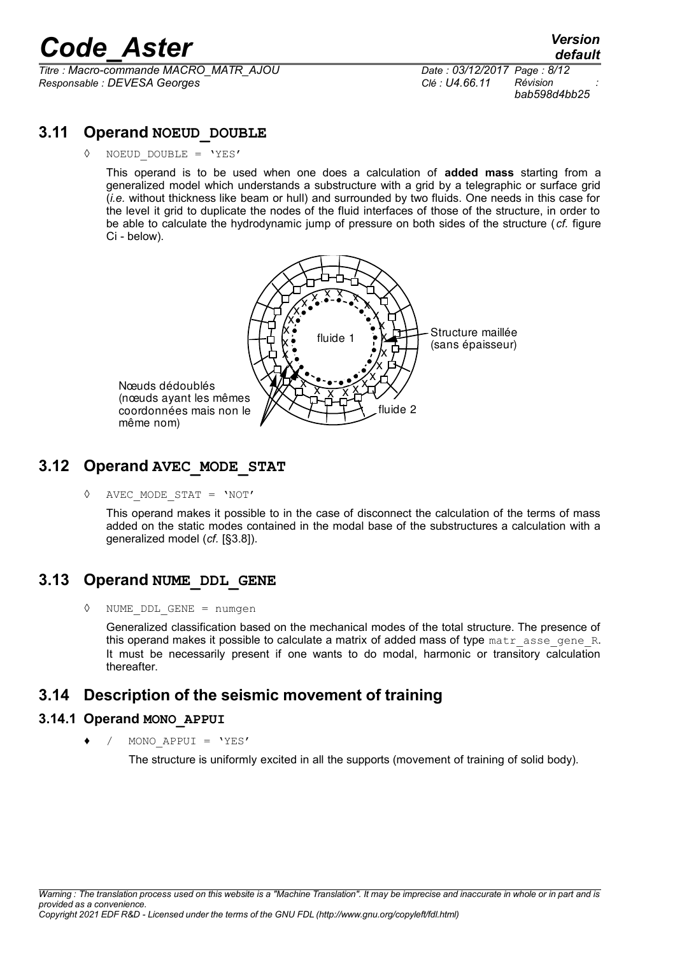*Titre : Macro-commande MACRO\_MATR\_AJOU Date : 03/12/2017 Page : 8/12 Responsable : DEVESA Georges Clé : U4.66.11 Révision :*

*bab598d4bb25*

#### **3.11 Operand NOEUD\_DOUBLE**

 $NOEUD$   $DOUBLE$  =  $'YES'$ 

This operand is to be used when one does a calculation of **added mass** starting from a generalized model which understands a substructure with a grid by a telegraphic or surface grid (*i.e.* without thickness like beam or hull) and surrounded by two fluids. One needs in this case for the level it grid to duplicate the nodes of the fluid interfaces of those of the structure, in order to be able to calculate the hydrodynamic jump of pressure on both sides of the structure ( *cf.* figure Ci - below).



#### **3.12 Operand AVEC\_MODE\_STAT**

◊ AVEC\_MODE\_STAT = 'NOT'

This operand makes it possible to in the case of disconnect the calculation of the terms of mass added on the static modes contained in the modal base of the substructures a calculation with a generalized model (*cf.* [§3.8]).

#### **3.13 Operand NUME\_DDL\_GENE**

◊ NUME\_DDL\_GENE = numgen

Generalized classification based on the mechanical modes of the total structure. The presence of this operand makes it possible to calculate a matrix of added mass of type  $\text{matr}$  asse gene R. It must be necessarily present if one wants to do modal, harmonic or transitory calculation thereafter.

#### **3.14 Description of the seismic movement of training**

#### **3.14.1 Operand MONO\_APPUI**

 $MONO$   $APPUI = 'YES'$ 

The structure is uniformly excited in all the supports (movement of training of solid body).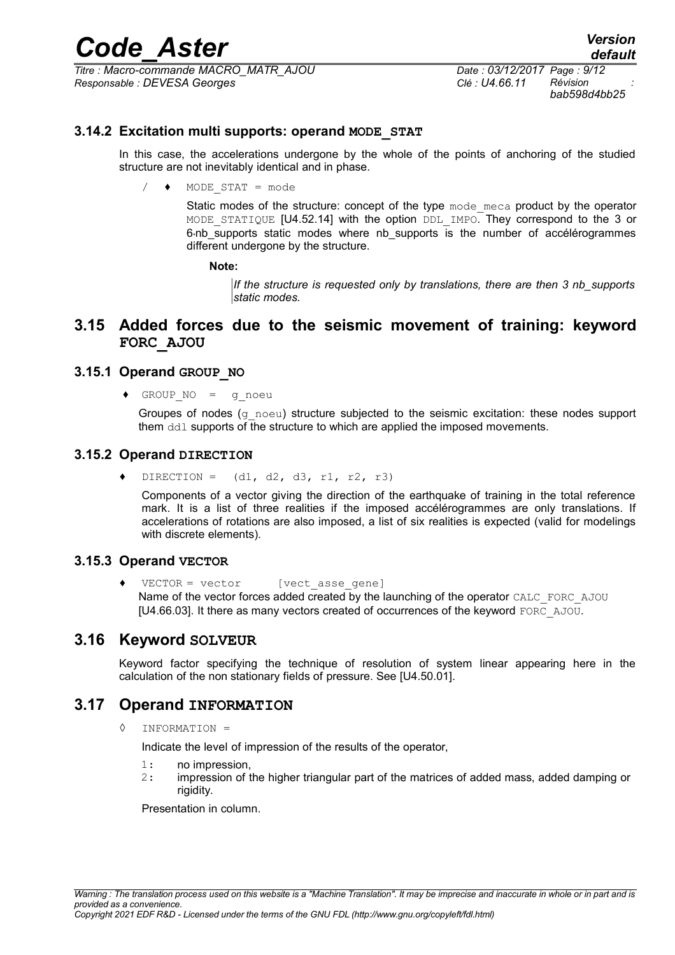*Titre : Macro-commande MACRO\_MATR\_AJOU Date : 03/12/2017 Page : 9/12 Responsable : DEVESA Georges Clé : U4.66.11 Révision :*

#### **3.14.2 Excitation multi supports: operand MODE\_STAT**

In this case, the accelerations undergone by the whole of the points of anchoring of the studied structure are not inevitably identical and in phase.

 $/ \rightarrow$  MODE STAT = mode

Static modes of the structure: concept of the type  $\mu$  mode meca product by the operator MODE STATIQUE [U4.52.14] with the option DDL IMPO. They correspond to the 3 or 6<sup>th</sup> supports static modes where nb supports is the number of accélérogrammes different undergone by the structure.

**Note:**

*If the structure is requested only by translations, there are then 3 nb\_supports static modes.*

#### **3.15 Added forces due to the seismic movement of training: keyword FORC\_AJOU**

#### **3.15.1 Operand GROUP\_NO**

♦ GROUP\_NO = g\_noeu

Groupes of nodes (g\_noeu) structure subjected to the seismic excitation: these nodes support them ddl supports of the structure to which are applied the imposed movements.

#### **3.15.2 Operand DIRECTION**

 $\bullet$  DIRECTION = (d1, d2, d3, r1, r2, r3)

Components of a vector giving the direction of the earthquake of training in the total reference mark. It is a list of three realities if the imposed accélérogrammes are only translations. If accelerations of rotations are also imposed, a list of six realities is expected (valid for modelings with discrete elements).

#### **3.15.3 Operand VECTOR**

♦ VECTOR = vector [vect\_asse\_gene] Name of the vector forces added created by the launching of the operator CALC\_FORC\_AJOU [U4.66.03]. It there as many vectors created of occurrences of the keyword FORC\_AJOU.

#### **3.16 Keyword SOLVEUR**

Keyword factor specifying the technique of resolution of system linear appearing here in the calculation of the non stationary fields of pressure. See [U4.50.01].

#### **3.17 Operand INFORMATION**

 $INFORMATION =$ 

Indicate the level of impression of the results of the operator,

- 1: no impression,
- 2: impression of the higher triangular part of the matrices of added mass, added damping or rigidity.

Presentation in column.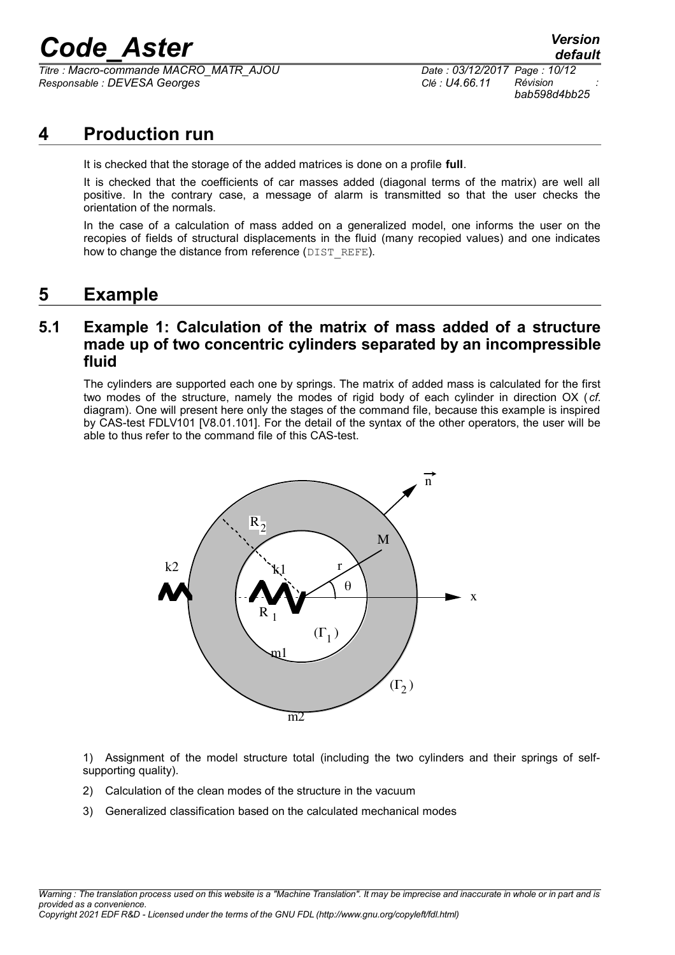*Titre : Macro-commande MACRO\_MATR\_AJOU Date : 03/12/2017 Page : 10/12 Responsable : DEVESA Georges Clé : U4.66.11 Révision :*

### **4 Production run**

It is checked that the storage of the added matrices is done on a profile **full**.

It is checked that the coefficients of car masses added (diagonal terms of the matrix) are well all positive. In the contrary case, a message of alarm is transmitted so that the user checks the orientation of the normals.

In the case of a calculation of mass added on a generalized model, one informs the user on the recopies of fields of structural displacements in the fluid (many recopied values) and one indicates how to change the distance from reference (DIST\_REFE).

### **5 Example**

#### **5.1 Example 1: Calculation of the matrix of mass added of a structure made up of two concentric cylinders separated by an incompressible fluid**

The cylinders are supported each one by springs. The matrix of added mass is calculated for the first two modes of the structure, namely the modes of rigid body of each cylinder in direction OX ( *cf.* diagram). One will present here only the stages of the command file, because this example is inspired by CAS-test FDLV101 [V8.01.101]. For the detail of the syntax of the other operators, the user will be able to thus refer to the command file of this CAS-test.



1) Assignment of the model structure total (including the two cylinders and their springs of selfsupporting quality).

- 2) Calculation of the clean modes of the structure in the vacuum
- 3) Generalized classification based on the calculated mechanical modes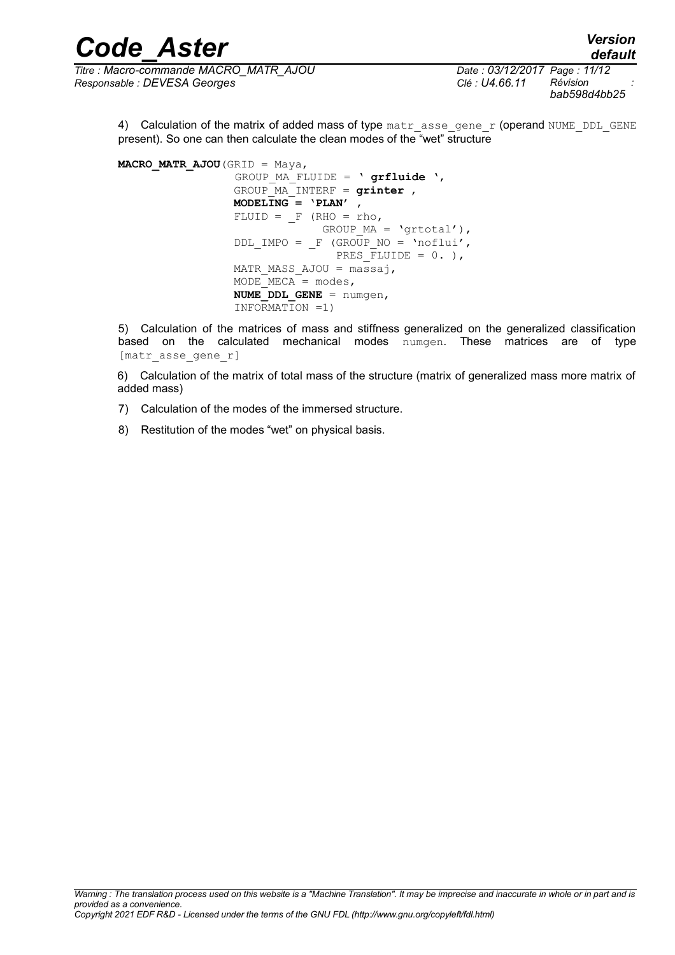| <b>Code Aster</b>                      | <b>Version</b><br>default    |
|----------------------------------------|------------------------------|
| Titre : Macro-commande MACRO MATR AJOU | Date: 03/12/2017 Page: 11/12 |

4) Calculation of the matrix of added mass of type matr asse gene r (operand NUME DDL GENE present). So one can then calculate the clean modes of the "wet" structure

**MACRO MATR AJOU** (GRID = Maya, GROUP\_MA\_FLUIDE = ' **grfluide** ', GROUP\_MA\_INTERF = **grinter** ,  **MODELING = 'PLAN'** ,  $FLUID = F (RHO = rho,$ GROUP MA = 'grtotal'), DDL IMPO =  $F$  (GROUP NO = 'noflui', PRES  $\overline{F}$ LUIDE = 0. ), MATR MASS AJOU =  $max$ ,  $MODE$   $MECA$  = modes, **NUME** DDL GENE = numgen, INFORMATION =1)

5) Calculation of the matrices of mass and stiffness generalized on the generalized classification based on the calculated mechanical modes numgen. These matrices are of type [matr asse gene r]

6) Calculation of the matrix of total mass of the structure (matrix of generalized mass more matrix of added mass)

- 7) Calculation of the modes of the immersed structure.
- 8) Restitution of the modes "wet" on physical basis.